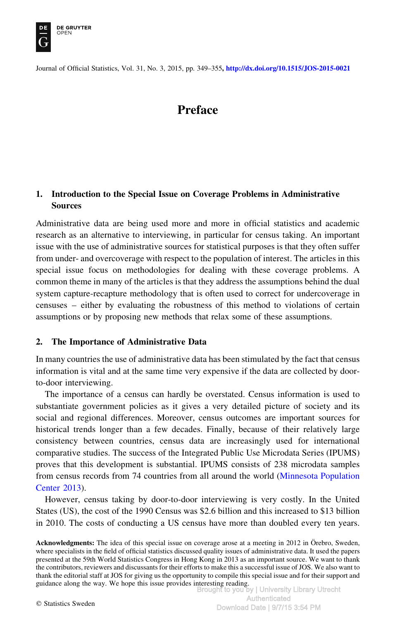

Journal of Official Statistics, Vol. 31, No. 3, 2015, pp. 349–355, <http://dx.doi.org/10.1515/JOS-2015-0021>

# Preface

# 1. Introduction to the Special Issue on Coverage Problems in Administrative Sources

Administrative data are being used more and more in official statistics and academic research as an alternative to interviewing, in particular for census taking. An important issue with the use of administrative sources for statistical purposes is that they often suffer from under- and overcoverage with respect to the population of interest. The articles in this special issue focus on methodologies for dealing with these coverage problems. A common theme in many of the articles is that they address the assumptions behind the dual system capture-recapture methodology that is often used to correct for undercoverage in censuses – either by evaluating the robustness of this method to violations of certain assumptions or by proposing new methods that relax some of these assumptions.

## 2. The Importance of Administrative Data

In many countries the use of administrative data has been stimulated by the fact that census information is vital and at the same time very expensive if the data are collected by doorto-door interviewing.

The importance of a census can hardly be overstated. Census information is used to substantiate government policies as it gives a very detailed picture of society and its social and regional differences. Moreover, census outcomes are important sources for historical trends longer than a few decades. Finally, because of their relatively large consistency between countries, census data are increasingly used for international comparative studies. The success of the Integrated Public Use Microdata Series (IPUMS) proves that this development is substantial. IPUMS consists of 238 microdata samples from census records from 74 countries from all around the world ([Minnesota Population](#page-6-0) [Center 2013\)](#page-6-0).

However, census taking by door-to-door interviewing is very costly. In the United States (US), the cost of the 1990 Census was \$2.6 billion and this increased to \$13 billion in 2010. The costs of conducting a US census have more than doubled every ten years.

Acknowledgments: The idea of this special issue on coverage arose at a meeting in 2012 in Örebro, Sweden, where specialists in the field of official statistics discussed quality issues of administrative data. It used the papers presented at the 59th World Statistics Congress in Hong Kong in 2013 as an important source. We want to thank the contributors, reviewers and discussants for their efforts to make this a successful issue of JOS. We also want to thank the editorial staff at JOS for giving us the opportunity to compile this special issue and for their support and guidance along the way. We hope this issue provides interesting reading.<br>Brought to you by | University Library Utrecht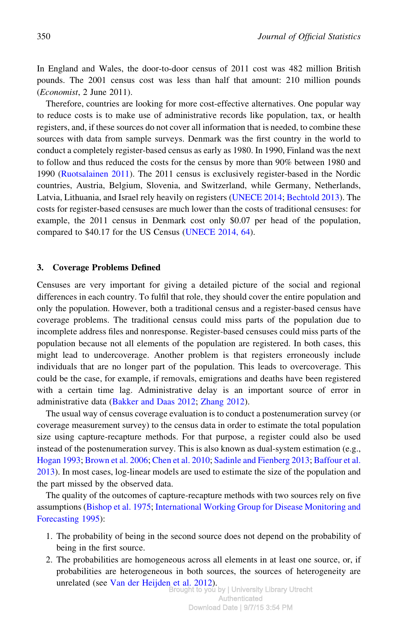In England and Wales, the door-to-door census of 2011 cost was 482 million British pounds. The 2001 census cost was less than half that amount: 210 million pounds (Economist, 2 June 2011).

Therefore, countries are looking for more cost-effective alternatives. One popular way to reduce costs is to make use of administrative records like population, tax, or health registers, and, if these sources do not cover all information that is needed, to combine these sources with data from sample surveys. Denmark was the first country in the world to conduct a completely register-based census as early as 1980. In 1990, Finland was the next to follow and thus reduced the costs for the census by more than 90% between 1980 and 1990 ([Ruotsalainen 2011](#page-6-0)). The 2011 census is exclusively register-based in the Nordic countries, Austria, Belgium, Slovenia, and Switzerland, while Germany, Netherlands, Latvia, Lithuania, and Israel rely heavily on registers ([UNECE 2014](#page-6-0); [Bechtold 2013\)](#page-5-0). The costs for register-based censuses are much lower than the costs of traditional censuses: for example, the 2011 census in Denmark cost only \$0.07 per head of the population, compared to \$40.17 for the US Census [\(UNECE 2014, 64\)](#page-6-0).

#### 3. Coverage Problems Defined

Censuses are very important for giving a detailed picture of the social and regional differences in each country. To fulfil that role, they should cover the entire population and only the population. However, both a traditional census and a register-based census have coverage problems. The traditional census could miss parts of the population due to incomplete address files and nonresponse. Register-based censuses could miss parts of the population because not all elements of the population are registered. In both cases, this might lead to undercoverage. Another problem is that registers erroneously include individuals that are no longer part of the population. This leads to overcoverage. This could be the case, for example, if removals, emigrations and deaths have been registered with a certain time lag. Administrative delay is an important source of error in administrative data [\(Bakker and Daas 2012;](#page-5-0) [Zhang 2012\)](#page-6-0).

The usual way of census coverage evaluation is to conduct a postenumeration survey (or coverage measurement survey) to the census data in order to estimate the total population size using capture-recapture methods. For that purpose, a register could also be used instead of the postenumeration survey. This is also known as dual-system estimation (e.g., [Hogan 1993](#page-6-0); [Brown et al. 2006;](#page-5-0) [Chen et al. 2010](#page-5-0); [Sadinle and Fienberg 2013;](#page-6-0) [Baffour et al.](#page-5-0) [2013\)](#page-5-0). In most cases, log-linear models are used to estimate the size of the population and the part missed by the observed data.

The quality of the outcomes of capture-recapture methods with two sources rely on five assumptions ([Bishop et al. 1975](#page-5-0); [International Working Group for Disease Monitoring and](#page-6-0) [Forecasting 1995](#page-6-0)):

- 1. The probability of being in the second source does not depend on the probability of being in the first source.
- 2. The probabilities are homogeneous across all elements in at least one source, or, if probabilities are heterogeneous in both sources, the sources of heterogeneity are unrelated (see [Van der Heijden et al. 2012\)](#page-6-0). Brought to you by | University Library Utrecht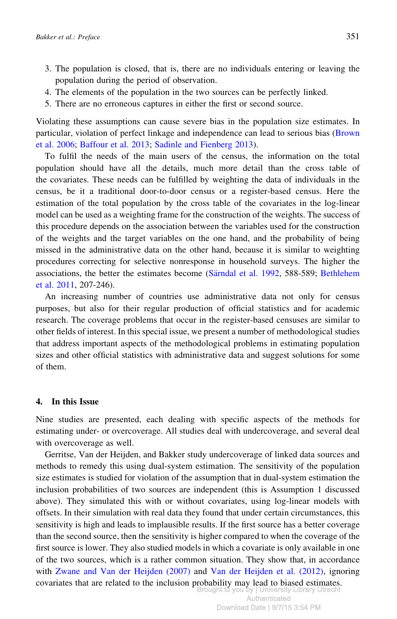- 3. The population is closed, that is, there are no individuals entering or leaving the population during the period of observation.
- 4. The elements of the population in the two sources can be perfectly linked.
- 5. There are no erroneous captures in either the first or second source.

Violating these assumptions can cause severe bias in the population size estimates. In particular, violation of perfect linkage and independence can lead to serious bias [\(Brown](#page-5-0) [et al. 2006;](#page-5-0) [Baffour et al. 2013;](#page-5-0) [Sadinle and Fienberg 2013](#page-6-0)).

To fulfil the needs of the main users of the census, the information on the total population should have all the details, much more detail than the cross table of the covariates. These needs can be fulfilled by weighting the data of individuals in the census, be it a traditional door-to-door census or a register-based census. Here the estimation of the total population by the cross table of the covariates in the log-linear model can be used as a weighting frame for the construction of the weights. The success of this procedure depends on the association between the variables used for the construction of the weights and the target variables on the one hand, and the probability of being missed in the administrative data on the other hand, because it is similar to weighting procedures correcting for selective nonresponse in household surveys. The higher the associations, the better the estimates become (Särndal et al. 1992, 588-589; [Bethlehem](#page-5-0) [et al. 2011,](#page-5-0) 207-246).

An increasing number of countries use administrative data not only for census purposes, but also for their regular production of official statistics and for academic research. The coverage problems that occur in the register-based censuses are similar to other fields of interest. In this special issue, we present a number of methodological studies that address important aspects of the methodological problems in estimating population sizes and other official statistics with administrative data and suggest solutions for some of them.

#### 4. In this Issue

Nine studies are presented, each dealing with specific aspects of the methods for estimating under- or overcoverage. All studies deal with undercoverage, and several deal with overcoverage as well.

Gerritse, Van der Heijden, and Bakker study undercoverage of linked data sources and methods to remedy this using dual-system estimation. The sensitivity of the population size estimates is studied for violation of the assumption that in dual-system estimation the inclusion probabilities of two sources are independent (this is Assumption 1 discussed above). They simulated this with or without covariates, using log-linear models with offsets. In their simulation with real data they found that under certain circumstances, this sensitivity is high and leads to implausible results. If the first source has a better coverage than the second source, then the sensitivity is higher compared to when the coverage of the first source is lower. They also studied models in which a covariate is only available in one of the two sources, which is a rather common situation. They show that, in accordance with [Zwane and Van der Heijden \(2007\)](#page-6-0) and [Van der Heijden et al. \(2012\),](#page-6-0) ignoring covariates that are related to the inclusion probability may lead to biased estimates.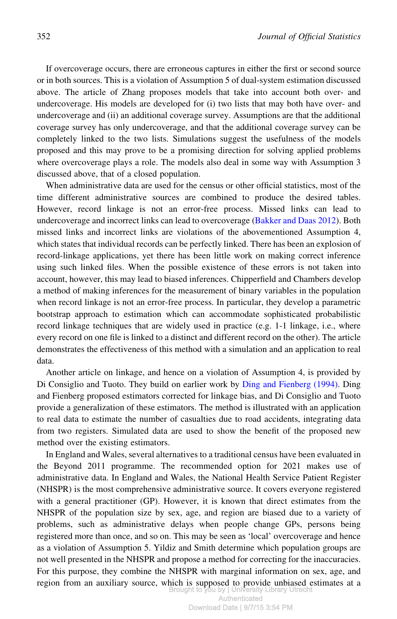If overcoverage occurs, there are erroneous captures in either the first or second source or in both sources. This is a violation of Assumption 5 of dual-system estimation discussed above. The article of Zhang proposes models that take into account both over- and undercoverage. His models are developed for (i) two lists that may both have over- and undercoverage and (ii) an additional coverage survey. Assumptions are that the additional coverage survey has only undercoverage, and that the additional coverage survey can be completely linked to the two lists. Simulations suggest the usefulness of the models proposed and this may prove to be a promising direction for solving applied problems where overcoverage plays a role. The models also deal in some way with Assumption 3 discussed above, that of a closed population.

When administrative data are used for the census or other official statistics, most of the time different administrative sources are combined to produce the desired tables. However, record linkage is not an error-free process. Missed links can lead to undercoverage and incorrect links can lead to overcoverage [\(Bakker and Daas 2012](#page-5-0)). Both missed links and incorrect links are violations of the abovementioned Assumption 4, which states that individual records can be perfectly linked. There has been an explosion of record-linkage applications, yet there has been little work on making correct inference using such linked files. When the possible existence of these errors is not taken into account, however, this may lead to biased inferences. Chipperfield and Chambers develop a method of making inferences for the measurement of binary variables in the population when record linkage is not an error-free process. In particular, they develop a parametric bootstrap approach to estimation which can accommodate sophisticated probabilistic record linkage techniques that are widely used in practice (e.g. 1-1 linkage, i.e., where every record on one file is linked to a distinct and different record on the other). The article demonstrates the effectiveness of this method with a simulation and an application to real data.

Another article on linkage, and hence on a violation of Assumption 4, is provided by Di Consiglio and Tuoto. They build on earlier work by [Ding and Fienberg \(1994\).](#page-5-0) Ding and Fienberg proposed estimators corrected for linkage bias, and Di Consiglio and Tuoto provide a generalization of these estimators. The method is illustrated with an application to real data to estimate the number of casualties due to road accidents, integrating data from two registers. Simulated data are used to show the benefit of the proposed new method over the existing estimators.

In England and Wales, several alternatives to a traditional census have been evaluated in the Beyond 2011 programme. The recommended option for 2021 makes use of administrative data. In England and Wales, the National Health Service Patient Register (NHSPR) is the most comprehensive administrative source. It covers everyone registered with a general practitioner (GP). However, it is known that direct estimates from the NHSPR of the population size by sex, age, and region are biased due to a variety of problems, such as administrative delays when people change GPs, persons being registered more than once, and so on. This may be seen as 'local' overcoverage and hence as a violation of Assumption 5. Yildiz and Smith determine which population groups are not well presented in the NHSPR and propose a method for correcting for the inaccuracies. For this purpose, they combine the NHSPR with marginal information on sex, age, and region from an auxiliary source, which is supposed to provide unbiased estimates at a<br>Brought to you by | University Library Utrecht Brought to you by | Univ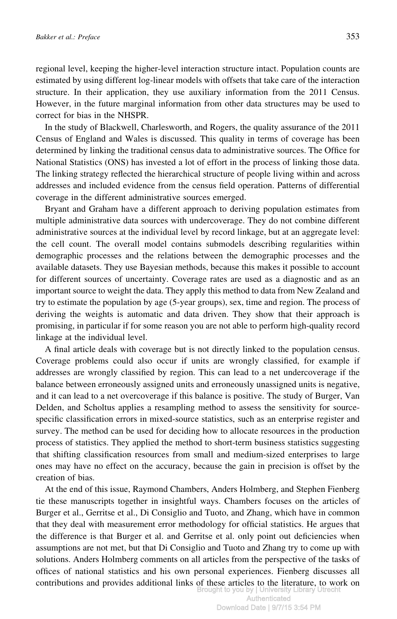regional level, keeping the higher-level interaction structure intact. Population counts are estimated by using different log-linear models with offsets that take care of the interaction structure. In their application, they use auxiliary information from the 2011 Census. However, in the future marginal information from other data structures may be used to correct for bias in the NHSPR.

In the study of Blackwell, Charlesworth, and Rogers, the quality assurance of the 2011 Census of England and Wales is discussed. This quality in terms of coverage has been determined by linking the traditional census data to administrative sources. The Office for National Statistics (ONS) has invested a lot of effort in the process of linking those data. The linking strategy reflected the hierarchical structure of people living within and across addresses and included evidence from the census field operation. Patterns of differential coverage in the different administrative sources emerged.

Bryant and Graham have a different approach to deriving population estimates from multiple administrative data sources with undercoverage. They do not combine different administrative sources at the individual level by record linkage, but at an aggregate level: the cell count. The overall model contains submodels describing regularities within demographic processes and the relations between the demographic processes and the available datasets. They use Bayesian methods, because this makes it possible to account for different sources of uncertainty. Coverage rates are used as a diagnostic and as an important source to weight the data. They apply this method to data from New Zealand and try to estimate the population by age (5-year groups), sex, time and region. The process of deriving the weights is automatic and data driven. They show that their approach is promising, in particular if for some reason you are not able to perform high-quality record linkage at the individual level.

A final article deals with coverage but is not directly linked to the population census. Coverage problems could also occur if units are wrongly classified, for example if addresses are wrongly classified by region. This can lead to a net undercoverage if the balance between erroneously assigned units and erroneously unassigned units is negative, and it can lead to a net overcoverage if this balance is positive. The study of Burger, Van Delden, and Scholtus applies a resampling method to assess the sensitivity for sourcespecific classification errors in mixed-source statistics, such as an enterprise register and survey. The method can be used for deciding how to allocate resources in the production process of statistics. They applied the method to short-term business statistics suggesting that shifting classification resources from small and medium-sized enterprises to large ones may have no effect on the accuracy, because the gain in precision is offset by the creation of bias.

At the end of this issue, Raymond Chambers, Anders Holmberg, and Stephen Fienberg tie these manuscripts together in insightful ways. Chambers focuses on the articles of Burger et al., Gerritse et al., Di Consiglio and Tuoto, and Zhang, which have in common that they deal with measurement error methodology for official statistics. He argues that the difference is that Burger et al. and Gerritse et al. only point out deficiencies when assumptions are not met, but that Di Consiglio and Tuoto and Zhang try to come up with solutions. Anders Holmberg comments on all articles from the perspective of the tasks of offices of national statistics and his own personal experiences. Fienberg discusses all contributions and provides additional links of these articles to the literature, to work on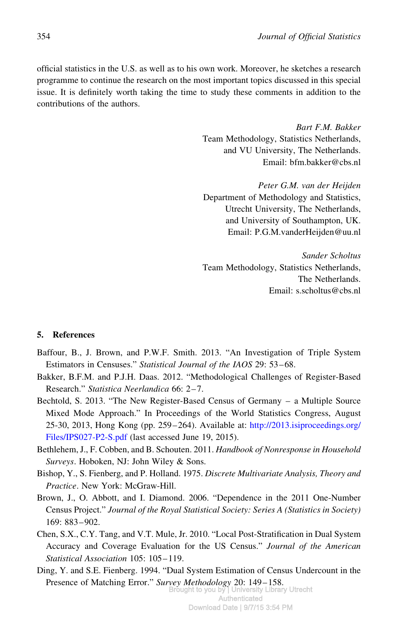<span id="page-5-0"></span>official statistics in the U.S. as well as to his own work. Moreover, he sketches a research programme to continue the research on the most important topics discussed in this special issue. It is definitely worth taking the time to study these comments in addition to the contributions of the authors.

> Bart F.M. Bakker Team Methodology, Statistics Netherlands, and VU University, The Netherlands. Email: bfm.bakker@cbs.nl

> Peter G.M. van der Heijden Department of Methodology and Statistics, Utrecht University, The Netherlands, and University of Southampton, UK. Email: P.G.M.vanderHeijden@uu.nl

> Sander Scholtus Team Methodology, Statistics Netherlands, The Netherlands. Email: s.scholtus@cbs.nl

### 5. References

- Baffour, B., J. Brown, and P.W.F. Smith. 2013. "An Investigation of Triple System Estimators in Censuses." Statistical Journal of the IAOS 29: 53–68.
- Bakker, B.F.M. and P.J.H. Daas. 2012. "Methodological Challenges of Register-Based Research." Statistica Neerlandica 66: 2–7.
- Bechtold, S. 2013. "The New Register-Based Census of Germany a Multiple Source Mixed Mode Approach." In Proceedings of the World Statistics Congress, August 25-30, 2013, Hong Kong (pp. 259–264). Available at: [http://2013.isiproceedings.org/](http://2013.isiproceedings.org/Files/IPS027-P2-S.pdf) [Files/IPS027-P2-S.pdf](http://2013.isiproceedings.org/Files/IPS027-P2-S.pdf) (last accessed June 19, 2015).
- Bethlehem, J., F. Cobben, and B. Schouten. 2011. Handbook of Nonresponse in Household Surveys. Hoboken, NJ: John Wiley & Sons.
- Bishop, Y., S. Fienberg, and P. Holland. 1975. Discrete Multivariate Analysis, Theory and Practice. New York: McGraw-Hill.
- Brown, J., O. Abbott, and I. Diamond. 2006. "Dependence in the 2011 One-Number Census Project." Journal of the Royal Statistical Society: Series A (Statistics in Society) 169: 883–902.
- Chen, S.X., C.Y. Tang, and V.T. Mule, Jr. 2010. "Local Post-Stratification in Dual System Accuracy and Coverage Evaluation for the US Census." Journal of the American Statistical Association 105: 105–119.
- Ding, Y. and S.E. Fienberg. 1994. "Dual System Estimation of Census Undercount in the Presence of Matching Error." Survey Methodology 20: 149–158. Brought to you by | University Library Utrecht